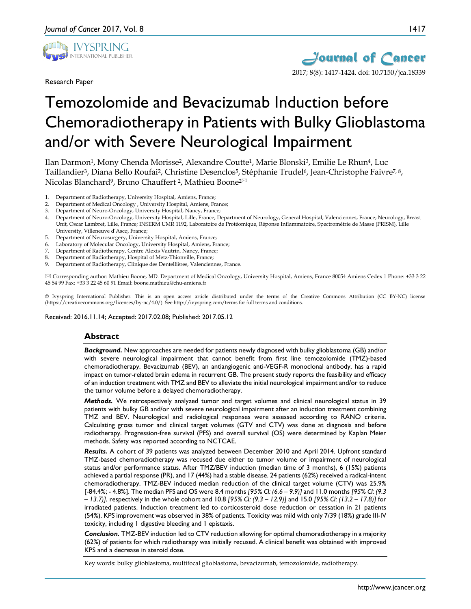

Research Paper



# Temozolomide and Bevacizumab Induction before Chemoradiotherapy in Patients with Bulky Glioblastoma and/or with Severe Neurological Impairment

Ilan Darmon1, Mony Chenda Morisse2, Alexandre Coutte1, Marie Blonski3, Emilie Le Rhun4, Luc Taillandier<sup>3</sup>, Diana Bello Roufai<sup>2</sup>, Christine Desenclos<sup>5</sup>, Stéphanie Trudel<sup>6</sup>, Jean-Christophe Faivre<sup>7, 8</sup>, Nicolas Blanchard<sup>9</sup>, Bruno Chauffert <sup>2</sup>, Mathieu Boone<sup>2⊠</sup>

- 1. Department of Radiotherapy, University Hospital, Amiens, France;
- 2. Department of Medical Oncology , University Hospital, Amiens, France;
- Department of Neuro-Oncology, University Hospital, Nancy, France;
- 4. Department of Neuro-Oncology, University Hospital, Lille, France; Department of Neurology, General Hospital, Valenciennes, France; Neurology, Breast Unit, Oscar Lambret, Lille, France; INSERM UMR 1192, Laboratoire de Protéomique, Réponse Inflammatoire, Spectrométrie de Masse (PRISM), Lille University, Villeneuve d'Ascq, France;
- 5. Department of Neurosurgery, University Hospital, Amiens, France;
- 6. Laboratory of Molecular Oncology, University Hospital, Amiens, France;
- Department of Radiotherapy, Centre Alexis Vautrin, Nancy, France;
- Department of Radiotherapy, Hospital of Metz-Thionville, France;
- 9. Department of Radiotherapy, Clinique des Dentellières, Valenciennes, France.

 Corresponding author: Mathieu Boone, MD. Department of Medical Oncology, University Hospital, Amiens, France 80054 Amiens Cedex 1 Phone: +33 3 22 45 54 99 Fax: +33 3 22 45 60 91 Email: boone.mathieu@chu-amiens.fr

© Ivyspring International Publisher. This is an open access article distributed under the terms of the Creative Commons Attribution (CC BY-NC) license (https://creativecommons.org/licenses/by-nc/4.0/). See http://ivyspring.com/terms for full terms and conditions.

Received: 2016.11.14; Accepted: 2017.02.08; Published: 2017.05.12

### **Abstract**

*Background.* New approaches are needed for patients newly diagnosed with bulky glioblastoma (GB) and/or with severe neurological impairment that cannot benefit from first line temozolomide (TMZ)-based chemoradiotherapy. Bevacizumab (BEV), an antiangiogenic anti-VEGF-R monoclonal antibody, has a rapid impact on tumor-related brain edema in recurrent GB. The present study reports the feasibility and efficacy of an induction treatment with TMZ and BEV to alleviate the initial neurological impairment and/or to reduce the tumor volume before a delayed chemoradiotherapy.

*Methods.* We retrospectively analyzed tumor and target volumes and clinical neurological status in 39 patients with bulky GB and/or with severe neurological impairment after an induction treatment combining TMZ and BEV. Neurological and radiological responses were assessed according to RANO criteria. Calculating gross tumor and clinical target volumes (GTV and CTV) was done at diagnosis and before radiotherapy. Progression-free survival (PFS) and overall survival (OS) were determined by Kaplan Meier methods. Safety was reported according to NCTCAE.

*Results.* A cohort of 39 patients was analyzed between December 2010 and April 2014. Upfront standard TMZ-based chemoradiotherapy was recused due either to tumor volume or impairment of neurological status and/or performance status. After TMZ/BEV induction (median time of 3 months), 6 (15%) patients achieved a partial response (PR), and 17 (44%) had a stable disease. 24 patients (62%) received a radical-intent chemoradiotherapy. TMZ-BEV induced median reduction of the clinical target volume (CTV) was 25.9% [-84.4%; - 4.8%]. The median PFS and OS were 8.4 months *[95% CI: (6.6 – 9.9)]* and 11.0 months *[95% CI: (9.3 – 13.7)]*, respectively in the whole cohort and 10.8 *[95% CI: (9.3 – 12.9)]* and 15.0 *[95% CI: (13.2 – 17.8)]* for irradiated patients. Induction treatment led to corticosteroid dose reduction or cessation in 21 patients (54%). KPS improvement was observed in 38% of patients*.* Toxicity was mild with only 7/39 (18%) grade III-IV toxicity, including 1 digestive bleeding and 1 epistaxis.

*Conclusion.* TMZ-BEV induction led to CTV reduction allowing for optimal chemoradiotherapy in a majority (62%) of patients for which radiotherapy was initially recused. A clinical benefit was obtained with improved KPS and a decrease in steroid dose.

Key words: bulky glioblastoma, multifocal glioblastoma, bevacizumab, temozolomide, radiotherapy.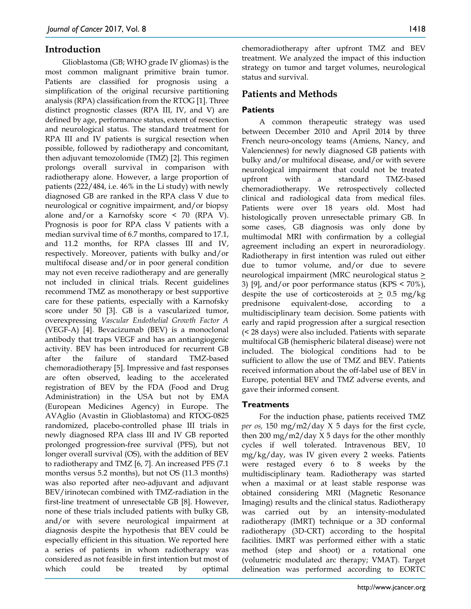# **Introduction**

Glioblastoma (GB; WHO grade IV gliomas) is the most common malignant primitive brain tumor. Patients are classified for prognosis using a simplification of the original recursive partitioning analysis (RPA) classification from the RTOG [1]. Three distinct prognostic classes (RPA III, IV, and V) are defined by age, performance status, extent of resection and neurological status. The standard treatment for RPA III and IV patients is surgical resection when possible, followed by radiotherapy and concomitant, then adjuvant temozolomide (TMZ) [2]. This regimen prolongs overall survival in comparison with radiotherapy alone. However, a large proportion of patients (222/484, i.e. 46% in the Li study) with newly diagnosed GB are ranked in the RPA class V due to neurological or cognitive impairment, and/or biopsy alone and/or a Karnofsky score < 70 (RPA V). Prognosis is poor for RPA class V patients with a median survival time of 6.7 months, compared to 17.1, and 11.2 months, for RPA classes III and IV, respectively. Moreover, patients with bulky and/or multifocal disease and/or in poor general condition may not even receive radiotherapy and are generally not included in clinical trials. Recent guidelines recommend TMZ as monotherapy or best supportive care for these patients, especially with a Karnofsky score under 50 [3]. GB is a vascularized tumor, overexpressing *Vascular Endothelial Growth Factor A* (VEGF-A) [4]. Bevacizumab (BEV) is a monoclonal antibody that traps VEGF and has an antiangiogenic activity. BEV has been introduced for recurrent GB after the failure of standard TMZ-based chemoradiotherapy [5]. Impressive and fast responses are often observed, leading to the accelerated registration of BEV by the FDA (Food and Drug Administration) in the USA but not by EMA (European Medicines Agency) in Europe. The AVAglio (Avastin in Glioblastoma) and RTOG-0825 randomized, placebo-controlled phase III trials in newly diagnosed RPA class III and IV GB reported prolonged progression-free survival (PFS), but not longer overall survival (OS), with the addition of BEV to radiotherapy and TMZ [6, 7]. An increased PFS (7.1 months versus 5.2 months), but not OS (11.3 months) was also reported after neo-adjuvant and adjuvant BEV/irinotecan combined with TMZ-radiation in the first-line treatment of unresectable GB [8]. However, none of these trials included patients with bulky GB, and/or with severe neurological impairment at diagnosis despite the hypothesis that BEV could be especially efficient in this situation. We reported here a series of patients in whom radiotherapy was considered as not feasible in first intention but most of which could be treated by optimal

chemoradiotherapy after upfront TMZ and BEV treatment. We analyzed the impact of this induction strategy on tumor and target volumes, neurological status and survival.

# **Patients and Methods**

# **Patients**

A common therapeutic strategy was used between December 2010 and April 2014 by three French neuro-oncology teams (Amiens, Nancy, and Valenciennes) for newly diagnosed GB patients with bulky and/or multifocal disease, and/or with severe neurological impairment that could not be treated upfront with a standard TMZ-based chemoradiotherapy. We retrospectively collected clinical and radiological data from medical files. Patients were over 18 years old. Most had histologically proven unresectable primary GB. In some cases, GB diagnosis was only done by multimodal MRI with confirmation by a collegial agreement including an expert in neuroradiology. Radiotherapy in first intention was ruled out either due to tumor volume, and/or due to severe neurological impairment (MRC neurological status > 3) [9], and/or poor performance status (KPS < 70%), despite the use of corticosteroids at  $\geq 0.5$  mg/kg prednisone equivalent-dose, according to a multidisciplinary team decision. Some patients with early and rapid progression after a surgical resection (< 28 days) were also included. Patients with separate multifocal GB (hemispheric bilateral disease) were not included. The biological conditions had to be sufficient to allow the use of TMZ and BEV. Patients received information about the off-label use of BEV in Europe, potential BEV and TMZ adverse events, and gave their informed consent.

# **Treatments**

For the induction phase, patients received TMZ *per os,* 150 mg/m2/day X 5 days for the first cycle, then 200 mg/m2/day  $X$  5 days for the other monthly cycles if well tolerated. Intravenous BEV, 10 mg/kg/day, was IV given every 2 weeks. Patients were restaged every 6 to 8 weeks by the multidisciplinary team. Radiotherapy was started when a maximal or at least stable response was obtained considering MRI (Magnetic Resonance Imaging) results and the clinical status. Radiotherapy was carried out by an intensity-modulated radiotherapy (IMRT) technique or a 3D conformal radiotherapy (3D-CRT) according to the hospital facilities. IMRT was performed either with a static method (step and shoot) or a rotational one (volumetric modulated arc therapy; VMAT). Target delineation was performed according to EORTC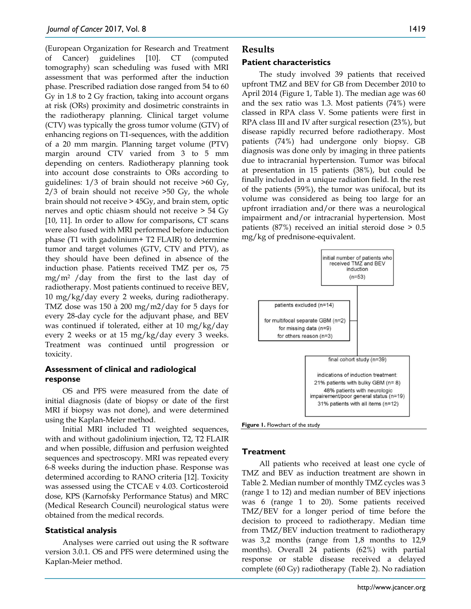(European Organization for Research and Treatment of Cancer) guidelines [10]. CT (computed tomography) scan scheduling was fused with MRI assessment that was performed after the induction phase. Prescribed radiation dose ranged from 54 to 60 Gy in 1.8 to 2 Gy fraction, taking into account organs at risk (ORs) proximity and dosimetric constraints in the radiotherapy planning. Clinical target volume (CTV) was typically the gross tumor volume (GTV) of enhancing regions on T1-sequences, with the addition of a 20 mm margin. Planning target volume (PTV) margin around CTV varied from 3 to 5 mm depending on centers. Radiotherapy planning took into account dose constraints to ORs according to guidelines: 1/3 of brain should not receive >60 Gy, 2/3 of brain should not receive >50 Gy, the whole brain should not receive > 45Gy, and brain stem, optic nerves and optic chiasm should not receive > 54 Gy [10, 11]. In order to allow for comparisons, CT scans were also fused with MRI performed before induction phase (T1 with gadolinium+ T2 FLAIR) to determine tumor and target volumes (GTV, CTV and PTV), as they should have been defined in absence of the induction phase. Patients received TMZ per os, 75 mg/m2 /day from the first to the last day of radiotherapy. Most patients continued to receive BEV, 10 mg/kg/day every 2 weeks, during radiotherapy. TMZ dose was 150 à 200 mg/m2/day for 5 days for every 28-day cycle for the adjuvant phase, and BEV was continued if tolerated, either at 10 mg/kg/day every 2 weeks or at 15 mg/kg/day every 3 weeks. Treatment was continued until progression or toxicity.

### **Assessment of clinical and radiological response**

OS and PFS were measured from the date of initial diagnosis (date of biopsy or date of the first MRI if biopsy was not done), and were determined using the Kaplan-Meier method.

Initial MRI included T1 weighted sequences, with and without gadolinium injection, T2, T2 FLAIR and when possible, diffusion and perfusion weighted sequences and spectroscopy. MRI was repeated every 6-8 weeks during the induction phase. Response was determined according to RANO criteria [12]. Toxicity was assessed using the CTCAE v 4.03. Corticosteroid dose, KPS (Karnofsky Performance Status) and MRC (Medical Research Council) neurological status were obtained from the medical records.

### **Statistical analysis**

Analyses were carried out using the R software version 3.0.1. OS and PFS were determined using the Kaplan-Meier method.

# **Results**

### **Patient characteristics**

The study involved 39 patients that received upfront TMZ and BEV for GB from December 2010 to April 2014 (Figure 1, Table 1). The median age was 60 and the sex ratio was 1.3. Most patients (74%) were classed in RPA class V. Some patients were first in RPA class III and IV after surgical resection (23%), but disease rapidly recurred before radiotherapy. Most patients (74%) had undergone only biopsy. GB diagnosis was done only by imaging in three patients due to intracranial hypertension. Tumor was bifocal at presentation in 15 patients (38%), but could be finally included in a unique radiation field. In the rest of the patients (59%), the tumor was unifocal, but its volume was considered as being too large for an upfront irradiation and/or there was a neurological impairment and/or intracranial hypertension. Most patients (87%) received an initial steroid dose > 0.5 mg/kg of prednisone-equivalent.



**Figure 1.** Flowchart of the study

# **Treatment**

All patients who received at least one cycle of TMZ and BEV as induction treatment are shown in Table 2. Median number of monthly TMZ cycles was 3 (range 1 to 12) and median number of BEV injections was 6 (range 1 to 20). Some patients received TMZ/BEV for a longer period of time before the decision to proceed to radiotherapy. Median time from TMZ/BEV induction treatment to radiotherapy was 3,2 months (range from 1,8 months to 12,9 months). Overall 24 patients (62%) with partial response or stable disease received a delayed complete (60 Gy) radiotherapy (Table 2). No radiation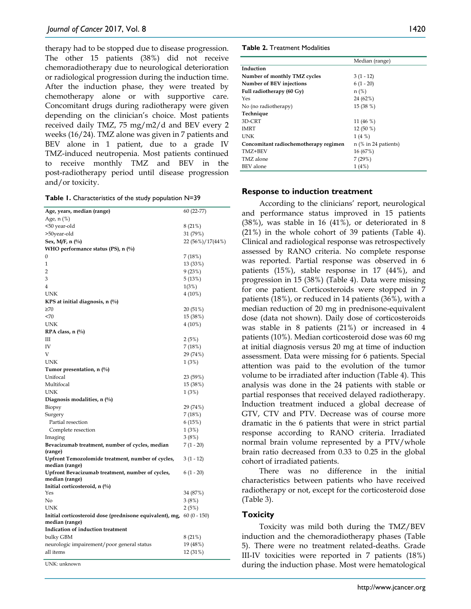therapy had to be stopped due to disease progression. The other 15 patients (38%) did not receive chemoradiotherapy due to neurological deterioration or radiological progression during the induction time. After the induction phase, they were treated by chemotherapy alone or with supportive care. Concomitant drugs during radiotherapy were given depending on the clinician's choice. Most patients received daily TMZ, 75 mg/m2/d and BEV every 2 weeks (16/24). TMZ alone was given in 7 patients and BEV alone in 1 patient, due to a grade IV TMZ-induced neutropenia. Most patients continued to receive monthly TMZ and BEV in the post-radiotherapy period until disease progression and/or toxicity.

|  | Table 1. Characteristics of the study population N=39 |  |  |  |  |
|--|-------------------------------------------------------|--|--|--|--|
|--|-------------------------------------------------------|--|--|--|--|

| Age, years, median (range)                                             | $60(22-77)$      |
|------------------------------------------------------------------------|------------------|
| Age, n (%)                                                             |                  |
| <50 year-old                                                           | 8(21%)           |
| >50year-old                                                            | 31 (79%)         |
| Sex, M/F, n $(\%)$                                                     | 22 (56%)/17(44%) |
| WHO performance status (PS), n $(\%)$                                  |                  |
| $\mathbf{0}$                                                           | 7 (18%)          |
| 1                                                                      | 13 (33%)         |
| $\overline{2}$                                                         | 9(23%)           |
| 3                                                                      | 5(13%)           |
| $\overline{4}$                                                         | 1(3%)            |
| <b>UNK</b>                                                             | $4(10\%)$        |
| KPS at initial diagnosis, $n$ (%)                                      |                  |
| $\geq 70$                                                              | 20 (51%)         |
| <70                                                                    | 15 (38%)         |
| <b>UNK</b>                                                             | $4(10\%)$        |
| RPA class, $n$ (%)                                                     |                  |
| Ш                                                                      | 2(5%)            |
| IV                                                                     | 7 (18%)          |
| V                                                                      | 29 (74%)         |
| UNK                                                                    | 1 (3%)           |
| Tumor presentation, n (%)                                              |                  |
| Unifocal                                                               | 23 (59%)         |
| Multifocal                                                             | 15 (38%)         |
| <b>UNK</b>                                                             | 1(3%)            |
| Diagnosis modalities, $n$ (%)                                          |                  |
| Biopsy                                                                 | 29 (74%)         |
| Surgery                                                                | 7(18%)           |
| Partial resection                                                      | 6(15%)           |
| Complete resection                                                     | 1(3%)            |
| Imaging                                                                | 3(8%)            |
| Bevacizumab treatment, number of cycles, median<br>(range)             | $7(1 - 20)$      |
| Upfront Temozolomide treatment, number of cycles,<br>median (range)    | $3(1-12)$        |
| Upfront Bevacizumab treatment, number of cycles,<br>median (range)     | $6(1 - 20)$      |
| Initial corticosteroid, $n$ (%)                                        |                  |
| Yes                                                                    | 34 (87%)         |
| No                                                                     | 3(8%)            |
| UNK                                                                    | 2(5%)            |
| Initial corticosteroid dose (prednisone equivalent), mg, $60(0 - 150)$ |                  |
| median (range)                                                         |                  |
| Indication of induction treatment                                      |                  |
| bulky GBM                                                              | 8 (21%)          |
| neurologic impairement/poor general status                             | 19 (48%)         |
| all items                                                              | 12 (31%)         |
|                                                                        |                  |

UNK: unknown

#### **Table 2.** Treatment Modalities

|                                       | Median (range)         |
|---------------------------------------|------------------------|
| Induction                             |                        |
| Number of monthly TMZ cycles          | $3(1-12)$              |
| Number of BEV injections              | $6(1 - 20)$            |
| Full radiotherapy (60 Gy)             | $n$ (%)                |
| Yes                                   | 24 (62%)               |
| No (no radiotherapy)                  | 15 (38 %)              |
| Technique                             |                        |
| 3D-CRT                                | 11 $(46\%)$            |
| IMRT                                  | $12(50\%)$             |
| UNK                                   | 1(4%)                  |
| Concomitant radiochemotherapy regimen | $n$ (% in 24 patients) |
| TMZ+BEV                               | 16 (67%)               |
| TMZ alone                             | 7(29%)                 |
| <b>BEV</b> alone                      | 1(4%)                  |

### **Response to induction treatment**

According to the clinicians' report, neurological and performance status improved in 15 patients (38%), was stable in 16 (41%), or deteriorated in 8 (21%) in the whole cohort of 39 patients (Table 4). Clinical and radiological response was retrospectively assessed by RANO criteria. No complete response was reported. Partial response was observed in 6 patients (15%), stable response in 17 (44%), and progression in 15 (38%) (Table 4). Data were missing for one patient. Corticosteroids were stopped in 7 patients (18%), or reduced in 14 patients (36%), with a median reduction of 20 mg in prednisone-equivalent dose (data not shown). Daily dose of corticosteroids was stable in 8 patients (21%) or increased in 4 patients (10%). Median corticosteroid dose was 60 mg at initial diagnosis versus 20 mg at time of induction assessment. Data were missing for 6 patients. Special attention was paid to the evolution of the tumor volume to be irradiated after induction (Table 4). This analysis was done in the 24 patients with stable or partial responses that received delayed radiotherapy. Induction treatment induced a global decrease of GTV, CTV and PTV. Decrease was of course more dramatic in the 6 patients that were in strict partial response according to RANO criteria. Irradiated normal brain volume represented by a PTV/whole brain ratio decreased from 0.33 to 0.25 in the global cohort of irradiated patients.

There was no difference in the initial characteristics between patients who have received radiotherapy or not, except for the corticosteroid dose (Table 3).

### **Toxicity**

Toxicity was mild both during the TMZ/BEV induction and the chemoradiotherapy phases (Table 5). There were no treatment related-deaths. Grade III-IV toxicities were reported in 7 patients (18%) during the induction phase. Most were hematological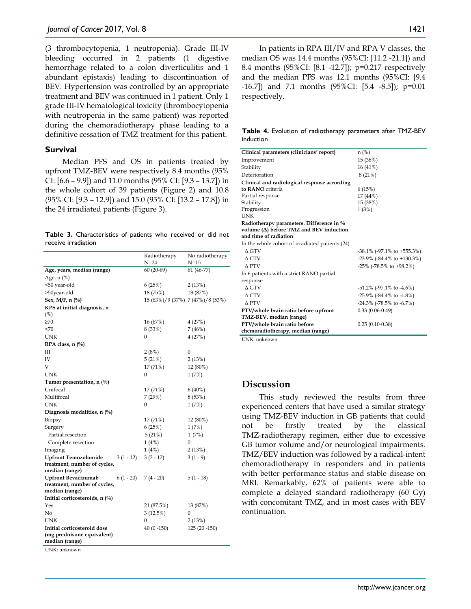(3 thrombocytopenia, 1 neutropenia). Grade III-IV bleeding occurred in 2 patients (1 digestive hemorrhage related to a colon diverticulitis and 1 abundant epistaxis) leading to discontinuation of BEV. Hypertension was controlled by an appropriate treatment and BEV was continued in 1 patient. Only 1 grade III-IV hematological toxicity (thrombocytopenia with neutropenia in the same patient) was reported during the chemoradiotherapy phase leading to a definitive cessation of TMZ treatment for this patient.

### **Survival**

Median PFS and OS in patients treated by upfront TMZ-BEV were respectively 8.4 months (95% CI: [6.6 – 9.9]) and 11.0 months (95% CI: [9.3 – 13.7]) in the whole cohort of 39 patients (Figure 2) and 10.8 (95% CI: [9.3 – 12.9]) and 15.0 (95% CI: [13.2 – 17.8]) in the 24 irradiated patients (Figure 3).

|  | Table 3. Characteristics of patients who received or did not |  |  |  |  |
|--|--------------------------------------------------------------|--|--|--|--|
|  | receive irradiation                                          |  |  |  |  |

|                                                |                         | Radiotherapy                     | No radiotherapy     |
|------------------------------------------------|-------------------------|----------------------------------|---------------------|
|                                                |                         | $N = 24$                         | $N=15$              |
| Age, years, median (range)                     |                         | $60(20-69)$                      | $61(46-77)$         |
| Age, n (%)                                     |                         |                                  |                     |
| <50 year-old                                   |                         | 6(25%)                           | 2(13%)              |
| >50year-old                                    |                         | 18 (75%)                         | 13 (87%)            |
| Sex, M/F, n (%)                                |                         | 15 (63%)/9 (37%) 7 (47%)/8 (53%) |                     |
| KPS at initial diagnosis, n<br>(%)             |                         |                                  |                     |
| $\geq 70$                                      |                         | 16 (67%)                         | 4(27%)              |
| <70                                            |                         | 8 (33%)                          | 7(46%)              |
| UNK                                            |                         | 0                                | 4(27%)              |
| RPA class, $n$ (%)                             |                         |                                  |                     |
| Ш                                              |                         |                                  | 0                   |
| IV                                             |                         | 2 (8%)                           |                     |
| V                                              |                         | 5(21%)                           | 2(13%)              |
| UNK                                            |                         | 17 (71%)<br>0                    | 12 (80%)            |
|                                                |                         |                                  | 1(7%)               |
| Tumor presentation, $n$ (%)<br>Unifocal        |                         |                                  |                     |
| Multifocal                                     |                         | 17 (71%)<br>7(29%)               | $6(40\%)$<br>8(53%) |
| UNK                                            |                         | 0                                |                     |
|                                                |                         |                                  | 1(7%)               |
| Diagnosis modalities, n (%)                    |                         |                                  |                     |
| Biopsy                                         |                         | 17 (71%)                         | 12 (80%)            |
| Surgery                                        |                         | 6(25%)                           | 1(7%)               |
| Partial resection                              |                         | 5(21%)                           | 1(7%)               |
| Complete resection                             |                         | 1(4%)                            | 0                   |
| Imaging                                        |                         | 1(4%)                            | 2(13%)              |
| <b>Upfront Temozolomide</b>                    | $3(1 - 12)$             | $3(2-12)$                        | $3(1 - 9)$          |
| treatment, number of cycles,<br>median (range) |                         |                                  |                     |
| <b>Upfront Bevacizumab</b>                     | $6(1 - 20)$ $7(4 - 20)$ |                                  | $5(1-18)$           |
| treatment, number of cycles,                   |                         |                                  |                     |
| median (range)                                 |                         |                                  |                     |
| Initial corticosteroids, n (%)                 |                         |                                  |                     |
| Yes                                            |                         | 21 (87.5%)                       | 13 (87%)            |
| No                                             |                         | 3(12.5%)                         | 0                   |
| UNK                                            |                         | 0                                | 2(13%)              |
| Initial corticosteroid dose                    |                         | $40(0 - 150)$                    | 125 (20 -150)       |
| (mg prednisone equivalent)                     |                         |                                  |                     |
| median (range)                                 |                         |                                  |                     |
| UNK: unknown                                   |                         |                                  |                     |

In patients in RPA III/IV and RPA V classes, the median OS was 14.4 months (95%CI: [11.2 -21.1]) and 8.4 months (95%CI: [8.1 -12.7]); p=0.217 respectively and the median PFS was 12.1 months (95%CI: [9.4 -16.7]) and 7.1 months (95%CI: [5.4 -8.5]); p=0.01 respectively.

**Table 4.** Evolution of radiotherapy parameters after TMZ-BEV induction

| Clinical parameters (clinicians' report)        | $n$ (%)                               |
|-------------------------------------------------|---------------------------------------|
| Improvement                                     | 15 (38%)                              |
| Stability                                       | 16 (41%)                              |
| Deterioration                                   | 8(21%)                                |
| Clinical and radiological response according    |                                       |
| to RANO criteria                                | 6(15%)                                |
| Partial response                                | 17 (44%)                              |
| Stability                                       | 15 (38%)                              |
| Progression                                     | 1(3%)                                 |
| <b>UNK</b>                                      |                                       |
| Radiotherapy parameters. Difference in %        |                                       |
| volume $(\Delta)$ before TMZ and BEV induction  |                                       |
| and time of radiation                           |                                       |
| In the whole cohort of irradiated patients (24) |                                       |
| $\Delta$ GTV                                    | $-38.1\%$ ( $-97.1\%$ to $+555.3\%$ ) |
| $\triangle$ CTV                                 | $-23.9\%$ ( $-84.4\%$ to $+130.3\%$ ) |
| A PTV                                           | $-25\%$ ( $-78.5\%$ to $+98.2\%)$     |
| In 6 patients with a strict RANO partial        |                                       |
| response                                        |                                       |
| $\triangle$ GTV                                 | $-51.2\%$ ( $-97.1\%$ to $-4.6\%$ )   |
| $\triangle$ CTV                                 | $-25.9\%$ ( $-84.4\%$ to $-4.8\%$ )   |
| A PTV                                           | $-24.3\%$ ( $-78.5\%$ to $-6.7\%$ )   |
| PTV/whole brain ratio before upfront            | $0.33(0.06 - 0.49)$                   |
| TMZ-BEV, median (range)                         |                                       |
| PTV/whole brain ratio before                    | $0.25(0.10-0.38)$                     |
| chemoradiotherapy, median (range)               |                                       |
| IINK: unknown                                   |                                       |

# **Discussion**

This study reviewed the results from three experienced centers that have used a similar strategy using TMZ-BEV induction in GB patients that could not be firstly treated by the classical TMZ-radiotherapy regimen, either due to excessive GB tumor volume and/or neurological impairments. TMZ/BEV induction was followed by a radical-intent chemoradiotherapy in responders and in patients with better performance status and stable disease on MRI. Remarkably, 62% of patients were able to complete a delayed standard radiotherapy (60 Gy) with concomitant TMZ, and in most cases with BEV continuation.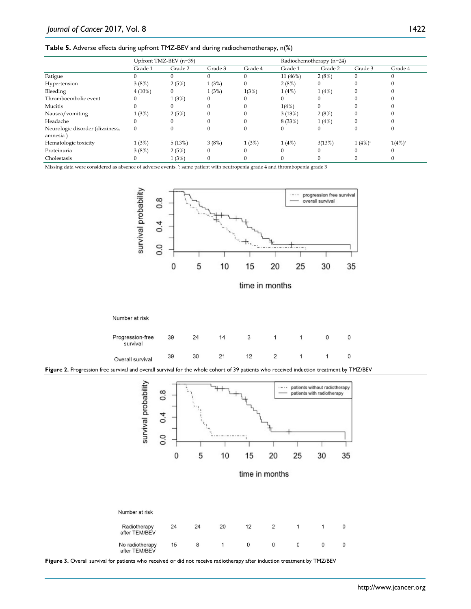#### **Table 5.** Adverse effects during upfront TMZ-BEV and during radiochemotherapy, n(%)

|                                            | Upfront TMZ-BEV (n=39) |         |         |          | Radiochemotherapy (n=24) |              |              |           |
|--------------------------------------------|------------------------|---------|---------|----------|--------------------------|--------------|--------------|-----------|
|                                            | Grade 1                | Grade 2 | Grade 3 | Grade 4  | Grade 1                  | Grade 2      | Grade 3      | Grade 4   |
| Fatigue                                    | 0                      |         | 0       | $\Omega$ | $11(46\%)$               | 2(8%)        | $\Omega$     | $\Omega$  |
| Hypertension                               | 3(8%)                  | 2(5%)   | 1(3%)   | 0        | 2(8%)                    | $\mathbf{0}$ | $\Omega$     |           |
| Bleeding                                   | $4(10\%)$              |         | 1(3%)   | 1(3%)    | 1(4%)                    | 1(4%)        | $\Omega$     |           |
| Thromboembolic event                       | 0                      | 1(3%)   | 0       | $^{(1)}$ |                          | 0            | $\Omega$     |           |
| Mucitis                                    | 0                      |         |         | 0        | 1(4%)                    | $\mathbf{0}$ |              |           |
| Nausea/vomiting                            | 1(3%)                  | 2(5%)   |         |          | 3(13%)                   | 2(8%)        | $\Omega$     |           |
| Headache                                   | $\left($               |         | 0       | 0        | 8 (33%)                  | 1(4%)        | $\mathbf{0}$ |           |
| Neurologic disorder (dizziness,<br>amnesia | $\mathbf{0}$           |         |         | 0        |                          | 0            | $\Omega$     |           |
| Hematologic toxicity                       | 1(3%)                  | 5(13%)  | 3(8%)   | 1(3%)    | 1(4%)                    | 3(13%)       | $1(4\%)^*$   | $1(4%)^*$ |
| Proteinuria                                | 3(8%)                  | 2(5%)   | 0       | 0        |                          | 0            | $\Omega$     | 0         |
| Cholestasis                                |                        | 1(3%)   | 0       | 0        |                          |              |              |           |

Missing data were considered as absence of adverse events. \*: same patient with neutropenia grade 4 and thrombopenia grade 3



time in months







**Figure 3.** Overall survival for patients who received or did not receive radiotherapy after induction treatment by TMZ/BEV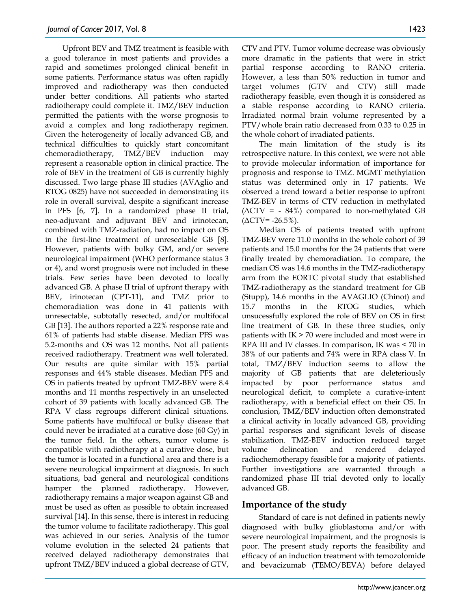Upfront BEV and TMZ treatment is feasible with a good tolerance in most patients and provides a rapid and sometimes prolonged clinical benefit in some patients. Performance status was often rapidly improved and radiotherapy was then conducted under better conditions. All patients who started radiotherapy could complete it. TMZ/BEV induction permitted the patients with the worse prognosis to avoid a complex and long radiotherapy regimen. Given the heterogeneity of locally advanced GB, and technical difficulties to quickly start concomitant chemoradiotherapy, TMZ/BEV induction may represent a reasonable option in clinical practice. The role of BEV in the treatment of GB is currently highly discussed. Two large phase III studies (AVAglio and RTOG 0825) have not succeeded in demonstrating its role in overall survival, despite a significant increase in PFS [6, 7]. In a randomized phase II trial, neo-adjuvant and adjuvant BEV and irinotecan, combined with TMZ-radiation, had no impact on OS in the first-line treatment of unresectable GB [8]. However, patients with bulky GM, and/or severe neurological impairment (WHO performance status 3 or 4), and worst prognosis were not included in these trials. Few series have been devoted to locally advanced GB. A phase II trial of upfront therapy with BEV, irinotecan (CPT-11), and TMZ prior to chemoradiation was done in 41 patients with unresectable, subtotally resected, and/or multifocal GB [13]. The authors reported a 22% response rate and 61% of patients had stable disease. Median PFS was 5.2-months and OS was 12 months. Not all patients received radiotherapy. Treatment was well tolerated. Our results are quite similar with 15% partial responses and 44% stable diseases. Median PFS and OS in patients treated by upfront TMZ-BEV were 8.4 months and 11 months respectively in an unselected cohort of 39 patients with locally advanced GB. The RPA V class regroups different clinical situations. Some patients have multifocal or bulky disease that could never be irradiated at a curative dose (60 Gy) in the tumor field. In the others, tumor volume is compatible with radiotherapy at a curative dose, but the tumor is located in a functional area and there is a severe neurological impairment at diagnosis. In such situations, bad general and neurological conditions hamper the planned radiotherapy. However, radiotherapy remains a major weapon against GB and must be used as often as possible to obtain increased survival [14]. In this sense, there is interest in reducing the tumor volume to facilitate radiotherapy. This goal was achieved in our series. Analysis of the tumor volume evolution in the selected 24 patients that received delayed radiotherapy demonstrates that upfront TMZ/BEV induced a global decrease of GTV,

CTV and PTV. Tumor volume decrease was obviously more dramatic in the patients that were in strict partial response according to RANO criteria. However, a less than 50% reduction in tumor and target volumes (GTV and CTV) still made radiotherapy feasible, even though it is considered as a stable response according to RANO criteria. Irradiated normal brain volume represented by a PTV/whole brain ratio decreased from 0.33 to 0.25 in the whole cohort of irradiated patients.

The main limitation of the study is its retrospective nature. In this context, we were not able to provide molecular information of importance for prognosis and response to TMZ. MGMT methylation status was determined only in 17 patients. We observed a trend toward a better response to upfront TMZ-BEV in terms of CTV reduction in methylated  $(\Delta$ CTV = - 84%) compared to non-methylated GB  $(ΔCTV = -26.5%)$ .

Median OS of patients treated with upfront TMZ-BEV were 11.0 months in the whole cohort of 39 patients and 15.0 months for the 24 patients that were finally treated by chemoradiation. To compare, the median OS was 14.6 months in the TMZ-radiotherapy arm from the EORTC pivotal study that established TMZ-radiotherapy as the standard treatment for GB (Stupp), 14.6 months in the AVAGLIO (Chinot) and 15.7 months in the RTOG studies, which unsucessfully explored the role of BEV on OS in first line treatment of GB. In these three studies, only patients with IK > 70 were included and most were in RPA III and IV classes. In comparison, IK was < 70 in 38% of our patients and 74% were in RPA class V. In total, TMZ/BEV induction seems to allow the majority of GB patients that are deleteriously impacted by poor performance status and neurological deficit, to complete a curative-intent radiotherapy, with a beneficial effect on their OS. In conclusion, TMZ/BEV induction often demonstrated a clinical activity in locally advanced GB, providing partial responses and significant levels of disease stabilization. TMZ-BEV induction reduced target volume delineation and rendered delayed radiochemotherapy feasible for a majority of patients. Further investigations are warranted through a randomized phase III trial devoted only to locally advanced GB.

# **Importance of the study**

Standard of care is not defined in patients newly diagnosed with bulky glioblastoma and/or with severe neurological impairment, and the prognosis is poor. The present study reports the feasibility and efficacy of an induction treatment with temozolomide and bevacizumab (TEMO/BEVA) before delayed